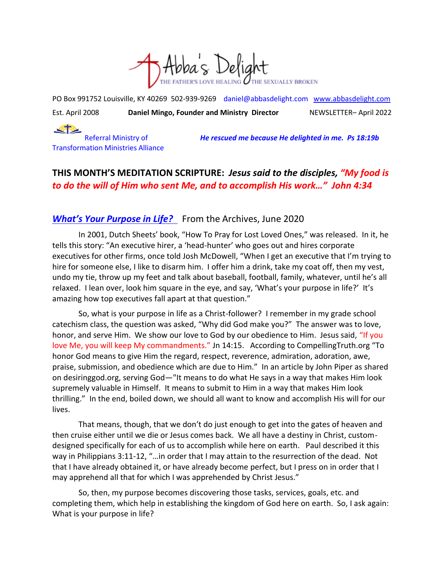

PO Box 991752 Louisville, KY 40269 502-939-9269 [daniel@abbasdelight.com](mailto:daniel@abbasdelight.com) [www.abbasdelight.com](http://www.abbasdelight.com/) Est. April 2008 **Daniel Mingo, Founder and Ministry Director** NEWSLETTER– April 2022

 $\blacktriangle$ Transformation Ministries Alliance

Referral Ministry of *He rescued me because He delighted in me. Ps 18:19b*

# **THIS MONTH'S MEDITATION SCRIPTURE:** *Jesus said to the disciples, "My food is to do the will of Him who sent Me, and to accomplish His work…" John 4:34*

## *What's Your Purpose in Life?* From the Archives, June 2020

In 2001, Dutch Sheets' book, "How To Pray for Lost Loved Ones," was released. In it, he tells this story: "An executive hirer, a 'head-hunter' who goes out and hires corporate executives for other firms, once told Josh McDowell, "When I get an executive that I'm trying to hire for someone else, I like to disarm him. I offer him a drink, take my coat off, then my vest, undo my tie, throw up my feet and talk about baseball, football, family, whatever, until he's all relaxed. I lean over, look him square in the eye, and say, 'What's your purpose in life?' It's amazing how top executives fall apart at that question."

So, what is your purpose in life as a Christ-follower? I remember in my grade school catechism class, the question was asked, "Why did God make you?" The answer was to love, honor, and serve Him. We show our love to God by our obedience to Him. Jesus said, "If you love Me, you will keep My commandments." Jn 14:15. According to CompellingTruth.org "To honor God means to give Him the regard, respect, reverence, admiration, adoration, awe, praise, submission, and obedience which are due to Him." In an article by John Piper as shared on desiringgod.org, serving God—"It means to do what He says in a way that makes Him look supremely valuable in Himself. It means to submit to Him in a way that makes Him look thrilling." In the end, boiled down, we should all want to know and accomplish His will for our lives.

That means, though, that we don't do just enough to get into the gates of heaven and then cruise either until we die or Jesus comes back. We all have a destiny in Christ, customdesigned specifically for each of us to accomplish while here on earth. Paul described it this way in Philippians 3:11-12, "…in order that I may attain to the resurrection of the dead. Not that I have already obtained it, or have already become perfect, but I press on in order that I may apprehend all that for which I was apprehended by Christ Jesus."

So, then, my purpose becomes discovering those tasks, services, goals, etc. and completing them, which help in establishing the kingdom of God here on earth. So, I ask again: What is your purpose in life?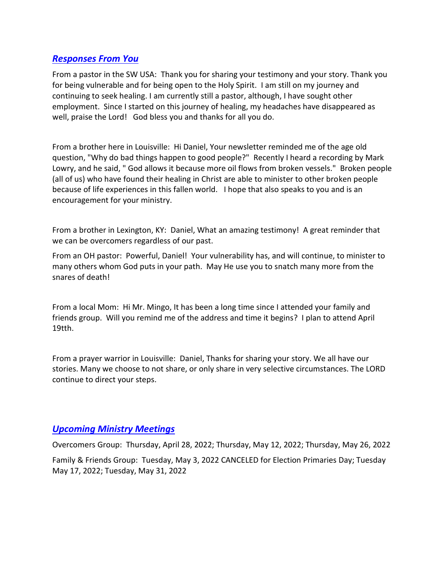### *Responses From You*

From a pastor in the SW USA: Thank you for sharing your testimony and your story. Thank you for being vulnerable and for being open to the Holy Spirit. I am still on my journey and continuing to seek healing. I am currently still a pastor, although, I have sought other employment. Since I started on this journey of healing, my headaches have disappeared as well, praise the Lord! God bless you and thanks for all you do.

From a brother here in Louisville: Hi Daniel, Your newsletter reminded me of the age old question, "Why do bad things happen to good people?" Recently I heard a recording by Mark Lowry, and he said, " God allows it because more oil flows from broken vessels." Broken people (all of us) who have found their healing in Christ are able to minister to other broken people because of life experiences in this fallen world. I hope that also speaks to you and is an encouragement for your ministry.

From a brother in Lexington, KY: Daniel, What an amazing testimony! A great reminder that we can be overcomers regardless of our past.

From an OH pastor: Powerful, Daniel! Your vulnerability has, and will continue, to minister to many others whom God puts in your path. May He use you to snatch many more from the snares of death!

From a local Mom: Hi Mr. Mingo, It has been a long time since I attended your family and friends group. Will you remind me of the address and time it begins? I plan to attend April 19tth.

From a prayer warrior in Louisville: Daniel, Thanks for sharing your story. We all have our stories. Many we choose to not share, or only share in very selective circumstances. The LORD continue to direct your steps.

#### *Upcoming Ministry Meetings*

Overcomers Group: Thursday, April 28, 2022; Thursday, May 12, 2022; Thursday, May 26, 2022 Family & Friends Group: Tuesday, May 3, 2022 CANCELED for Election Primaries Day; Tuesday May 17, 2022; Tuesday, May 31, 2022